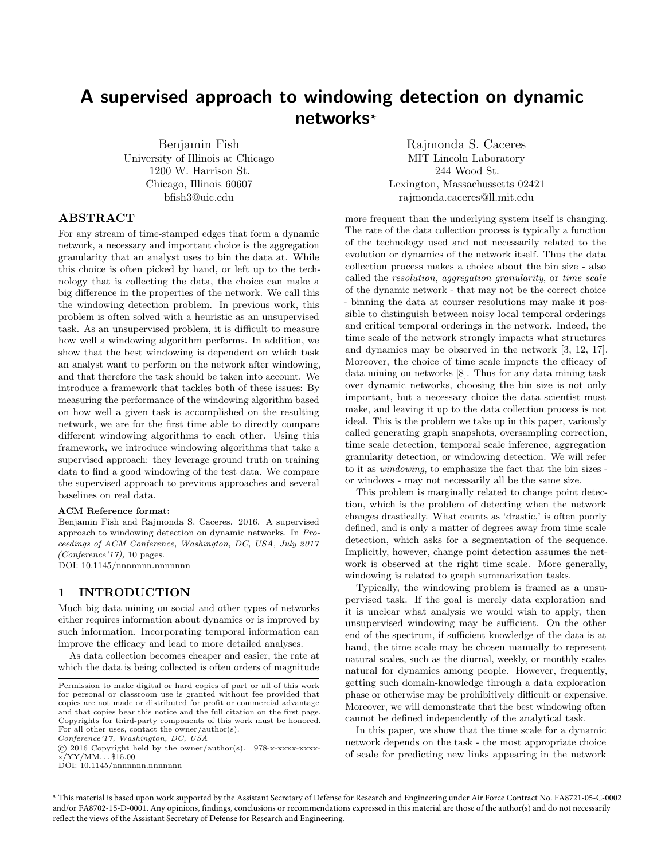# <span id="page-0-0"></span>A supervised approach to windowing detection on dynamic networks \*

Benjamin Fish University of Illinois at Chicago 1200 W. Harrison St. Chicago, Illinois 60607 bfish3@uic.edu

Rajmonda S. Caceres MIT Lincoln Laboratory 244 Wood St. Lexington, Massachussetts 02421 rajmonda.caceres@ll.mit.edu

# ABSTRACT

For any stream of time-stamped edges that form a dynamic network, a necessary and important choice is the aggregation granularity that an analyst uses to bin the data at. While this choice is often picked by hand, or left up to the technology that is collecting the data, the choice can make a big difference in the properties of the network. We call this the windowing detection problem. In previous work, this problem is often solved with a heuristic as an unsupervised task. As an unsupervised problem, it is difficult to measure how well a windowing algorithm performs. In addition, we show that the best windowing is dependent on which task an analyst want to perform on the network after windowing, and that therefore the task should be taken into account. We introduce a framework that tackles both of these issues: By measuring the performance of the windowing algorithm based on how well a given task is accomplished on the resulting network, we are for the first time able to directly compare different windowing algorithms to each other. Using this framework, we introduce windowing algorithms that take a supervised approach: they leverage ground truth on training data to find a good windowing of the test data. We compare the supervised approach to previous approaches and several baselines on real data.

#### ACM Reference format:

Benjamin Fish and Rajmonda S. Caceres. 2016. A supervised approach to windowing detection on dynamic networks. In Proceedings of ACM Conference, Washington, DC, USA, July 2017 (Conference'17), [10](#page-9-0) pages. DOI: 10.1145/nnnnnnn.nnnnnnn

#### 1 INTRODUCTION

Much big data mining on social and other types of networks either requires information about dynamics or is improved by such information. Incorporating temporal information can improve the efficacy and lead to more detailed analyses.

As data collection becomes cheaper and easier, the rate at which the data is being collected is often orders of magnitude

Conference'17, Washington, DC, USA

© 2016 Copyright held by the owner/author(s). 978-x-xxxx-xxxx $x/YY/MM...$ \$15.00

DOI: 10.1145/nnnnnnn.nnnnnnn

more frequent than the underlying system itself is changing. The rate of the data collection process is typically a function of the technology used and not necessarily related to the evolution or dynamics of the network itself. Thus the data collection process makes a choice about the bin size - also called the resolution, aggregation granularity, or time scale of the dynamic network - that may not be the correct choice - binning the data at courser resolutions may make it possible to distinguish between noisy local temporal orderings and critical temporal orderings in the network. Indeed, the time scale of the network strongly impacts what structures and dynamics may be observed in the network [\[3,](#page-8-0) [12,](#page-9-1) [17\]](#page-9-2). Moreover, the choice of time scale impacts the efficacy of data mining on networks [\[8\]](#page-8-1). Thus for any data mining task over dynamic networks, choosing the bin size is not only important, but a necessary choice the data scientist must make, and leaving it up to the data collection process is not ideal. This is the problem we take up in this paper, variously called generating graph snapshots, oversampling correction, time scale detection, temporal scale inference, aggregation granularity detection, or windowing detection. We will refer to it as windowing, to emphasize the fact that the bin sizes or windows - may not necessarily all be the same size.

This problem is marginally related to change point detection, which is the problem of detecting when the network changes drastically. What counts as 'drastic,' is often poorly defined, and is only a matter of degrees away from time scale detection, which asks for a segmentation of the sequence. Implicitly, however, change point detection assumes the network is observed at the right time scale. More generally, windowing is related to graph summarization tasks.

Typically, the windowing problem is framed as a unsupervised task. If the goal is merely data exploration and it is unclear what analysis we would wish to apply, then unsupervised windowing may be sufficient. On the other end of the spectrum, if sufficient knowledge of the data is at hand, the time scale may be chosen manually to represent natural scales, such as the diurnal, weekly, or monthly scales natural for dynamics among people. However, frequently, getting such domain-knowledge through a data exploration phase or otherwise may be prohibitively difficult or expensive. Moreover, we will demonstrate that the best windowing often cannot be defined independently of the analytical task.

In this paper, we show that the time scale for a dynamic network depends on the task - the most appropriate choice of scale for predicting new links appearing in the network

\* This material is based upon work supported by the Assistant Secretary of Defense for Research and Engineering under Air Force Contract No. FA8721-05-C-0002 and/or FA8702-15-D-0001. Any opinions, findings, conclusions or recommendations expressed in this material are those of the author(s) and do not necessarily reflect the views of the Assistant Secretary of Defense for Research and Engineering.

Permission to make digital or hard copies of part or all of this work for personal or classroom use is granted without fee provided that copies are not made or distributed for profit or commercial advantage and that copies bear this notice and the full citation on the first page. Copyrights for third-party components of this work must be honored. For all other uses, contact the owner/author(s).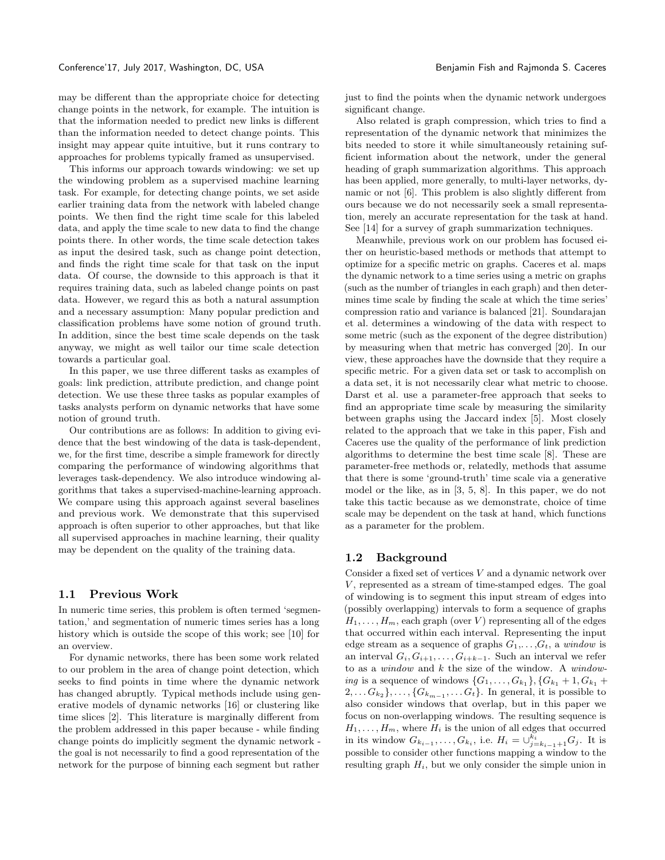may be different than the appropriate choice for detecting change points in the network, for example. The intuition is that the information needed to predict new links is different than the information needed to detect change points. This insight may appear quite intuitive, but it runs contrary to approaches for problems typically framed as unsupervised.

This informs our approach towards windowing: we set up the windowing problem as a supervised machine learning task. For example, for detecting change points, we set aside earlier training data from the network with labeled change points. We then find the right time scale for this labeled data, and apply the time scale to new data to find the change points there. In other words, the time scale detection takes as input the desired task, such as change point detection, and finds the right time scale for that task on the input data. Of course, the downside to this approach is that it requires training data, such as labeled change points on past data. However, we regard this as both a natural assumption and a necessary assumption: Many popular prediction and classification problems have some notion of ground truth. In addition, since the best time scale depends on the task anyway, we might as well tailor our time scale detection towards a particular goal.

In this paper, we use three different tasks as examples of goals: link prediction, attribute prediction, and change point detection. We use these three tasks as popular examples of tasks analysts perform on dynamic networks that have some notion of ground truth.

Our contributions are as follows: In addition to giving evidence that the best windowing of the data is task-dependent, we, for the first time, describe a simple framework for directly comparing the performance of windowing algorithms that leverages task-dependency. We also introduce windowing algorithms that takes a supervised-machine-learning approach. We compare using this approach against several baselines and previous work. We demonstrate that this supervised approach is often superior to other approaches, but that like all supervised approaches in machine learning, their quality may be dependent on the quality of the training data.

#### 1.1 Previous Work

In numeric time series, this problem is often termed 'segmentation,' and segmentation of numeric times series has a long history which is outside the scope of this work; see [\[10\]](#page-9-3) for an overview.

For dynamic networks, there has been some work related to our problem in the area of change point detection, which seeks to find points in time where the dynamic network has changed abruptly. Typical methods include using generative models of dynamic networks [\[16\]](#page-9-4) or clustering like time slices [\[2\]](#page-8-2). This literature is marginally different from the problem addressed in this paper because - while finding change points do implicitly segment the dynamic network the goal is not necessarily to find a good representation of the network for the purpose of binning each segment but rather

just to find the points when the dynamic network undergoes significant change.

Also related is graph compression, which tries to find a representation of the dynamic network that minimizes the bits needed to store it while simultaneously retaining sufficient information about the network, under the general heading of graph summarization algorithms. This approach has been applied, more generally, to multi-layer networks, dynamic or not [\[6\]](#page-8-3). This problem is also slightly different from ours because we do not necessarily seek a small representation, merely an accurate representation for the task at hand. See [\[14\]](#page-9-5) for a survey of graph summarization techniques.

Meanwhile, previous work on our problem has focused either on heuristic-based methods or methods that attempt to optimize for a specific metric on graphs. Caceres et al. maps the dynamic network to a time series using a metric on graphs (such as the number of triangles in each graph) and then determines time scale by finding the scale at which the time series' compression ratio and variance is balanced [\[21\]](#page-9-6). Soundarajan et al. determines a windowing of the data with respect to some metric (such as the exponent of the degree distribution) by measuring when that metric has converged [\[20\]](#page-9-7). In our view, these approaches have the downside that they require a specific metric. For a given data set or task to accomplish on a data set, it is not necessarily clear what metric to choose. Darst et al. use a parameter-free approach that seeks to find an appropriate time scale by measuring the similarity between graphs using the Jaccard index [\[5\]](#page-8-4). Most closely related to the approach that we take in this paper, Fish and Caceres use the quality of the performance of link prediction algorithms to determine the best time scale [\[8\]](#page-8-1). These are parameter-free methods or, relatedly, methods that assume that there is some 'ground-truth' time scale via a generative model or the like, as in [\[3,](#page-8-0) [5,](#page-8-4) [8\]](#page-8-1). In this paper, we do not take this tactic because as we demonstrate, choice of time scale may be dependent on the task at hand, which functions as a parameter for the problem.

#### 1.2 Background

Consider a fixed set of vertices  $V$  and a dynamic network over  $V$ , represented as a stream of time-stamped edges. The goal of windowing is to segment this input stream of edges into (possibly overlapping) intervals to form a sequence of graphs  $H_1, \ldots, H_m$ , each graph (over V) representing all of the edges that occurred within each interval. Representing the input edge stream as a sequence of graphs  $G_1, \ldots, G_t$ , a window is an interval  $G_i, G_{i+1}, \ldots, G_{i+k-1}$ . Such an interval we refer to as a  $window$  and  $k$  the size of the window. A  $window$ ing is a sequence of windows  $\{G_1, \ldots, G_{k_1}\}, \{G_{k_1}+1, G_{k_1}+1\}$  $2, \ldots, G_{k_2}, \ldots, \{G_{k_{m-1}}, \ldots, G_t\}$ . In general, it is possible to also consider windows that overlap, but in this paper we focus on non-overlapping windows. The resulting sequence is  $H_1, \ldots, H_m$ , where  $H_i$  is the union of all edges that occurred in its window  $G_{k_{i-1}}, \ldots, G_{k_i}$ , i.e.  $H_i = \cup_{j=k_{i-1}+1}^{k_i} G_j$ . It is possible to consider other functions mapping a window to the resulting graph  $H_i$ , but we only consider the simple union in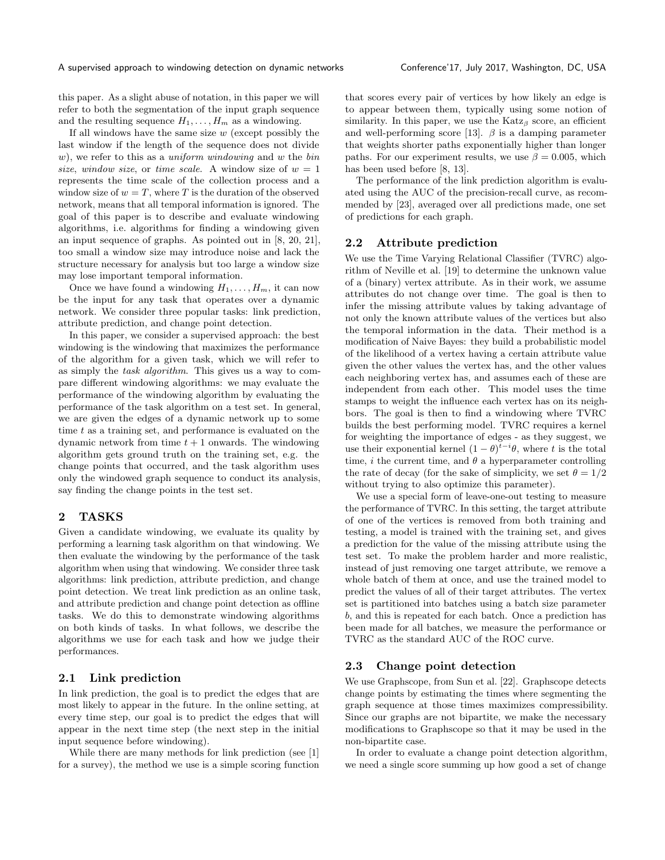this paper. As a slight abuse of notation, in this paper we will refer to both the segmentation of the input graph sequence and the resulting sequence  $H_1, \ldots, H_m$  as a windowing.

If all windows have the same size  $w$  (except possibly the last window if the length of the sequence does not divide  $w$ ), we refer to this as a *uniform windowing* and w the bin size, window size, or time scale. A window size of  $w = 1$ represents the time scale of the collection process and a window size of  $w = T$ , where T is the duration of the observed network, means that all temporal information is ignored. The goal of this paper is to describe and evaluate windowing algorithms, i.e. algorithms for finding a windowing given an input sequence of graphs. As pointed out in [\[8,](#page-8-1) [20,](#page-9-7) [21\]](#page-9-6), too small a window size may introduce noise and lack the structure necessary for analysis but too large a window size may lose important temporal information.

Once we have found a windowing  $H_1, \ldots, H_m$ , it can now be the input for any task that operates over a dynamic network. We consider three popular tasks: link prediction, attribute prediction, and change point detection.

In this paper, we consider a supervised approach: the best windowing is the windowing that maximizes the performance of the algorithm for a given task, which we will refer to as simply the task algorithm. This gives us a way to compare different windowing algorithms: we may evaluate the performance of the windowing algorithm by evaluating the performance of the task algorithm on a test set. In general, we are given the edges of a dynamic network up to some time  $t$  as a training set, and performance is evaluated on the dynamic network from time  $t + 1$  onwards. The windowing algorithm gets ground truth on the training set, e.g. the change points that occurred, and the task algorithm uses only the windowed graph sequence to conduct its analysis, say finding the change points in the test set.

# <span id="page-2-0"></span>2 TASKS

Given a candidate windowing, we evaluate its quality by performing a learning task algorithm on that windowing. We then evaluate the windowing by the performance of the task algorithm when using that windowing. We consider three task algorithms: link prediction, attribute prediction, and change point detection. We treat link prediction as an online task, and attribute prediction and change point detection as offline tasks. We do this to demonstrate windowing algorithms on both kinds of tasks. In what follows, we describe the algorithms we use for each task and how we judge their performances.

#### 2.1 Link prediction

In link prediction, the goal is to predict the edges that are most likely to appear in the future. In the online setting, at every time step, our goal is to predict the edges that will appear in the next time step (the next step in the initial input sequence before windowing).

While there are many methods for link prediction (see [\[1\]](#page-8-5) for a survey), the method we use is a simple scoring function

that scores every pair of vertices by how likely an edge is to appear between them, typically using some notion of similarity. In this paper, we use the  $Katz_\beta$  score, an efficient and well-performing score [\[13\]](#page-9-8).  $\beta$  is a damping parameter that weights shorter paths exponentially higher than longer paths. For our experiment results, we use  $\beta = 0.005$ , which has been used before [\[8,](#page-8-1) [13\]](#page-9-8).

The performance of the link prediction algorithm is evaluated using the AUC of the precision-recall curve, as recommended by [\[23\]](#page-9-9), averaged over all predictions made, one set of predictions for each graph.

#### 2.2 Attribute prediction

We use the Time Varying Relational Classifier (TVRC) algorithm of Neville et al. [\[19\]](#page-9-10) to determine the unknown value of a (binary) vertex attribute. As in their work, we assume attributes do not change over time. The goal is then to infer the missing attribute values by taking advantage of not only the known attribute values of the vertices but also the temporal information in the data. Their method is a modification of Naive Bayes: they build a probabilistic model of the likelihood of a vertex having a certain attribute value given the other values the vertex has, and the other values each neighboring vertex has, and assumes each of these are independent from each other. This model uses the time stamps to weight the influence each vertex has on its neighbors. The goal is then to find a windowing where TVRC builds the best performing model. TVRC requires a kernel for weighting the importance of edges - as they suggest, we use their exponential kernel  $(1 - \theta)^{t-i}\theta$ , where t is the total time, i the current time, and  $\theta$  a hyperparameter controlling the rate of decay (for the sake of simplicity, we set  $\theta = 1/2$ without trying to also optimize this parameter).

We use a special form of leave-one-out testing to measure the performance of TVRC. In this setting, the target attribute of one of the vertices is removed from both training and testing, a model is trained with the training set, and gives a prediction for the value of the missing attribute using the test set. To make the problem harder and more realistic, instead of just removing one target attribute, we remove a whole batch of them at once, and use the trained model to predict the values of all of their target attributes. The vertex set is partitioned into batches using a batch size parameter b, and this is repeated for each batch. Once a prediction has been made for all batches, we measure the performance or TVRC as the standard AUC of the ROC curve.

#### 2.3 Change point detection

We use Graphscope, from Sun et al. [\[22\]](#page-9-11). Graphscope detects change points by estimating the times where segmenting the graph sequence at those times maximizes compressibility. Since our graphs are not bipartite, we make the necessary modifications to Graphscope so that it may be used in the non-bipartite case.

In order to evaluate a change point detection algorithm, we need a single score summing up how good a set of change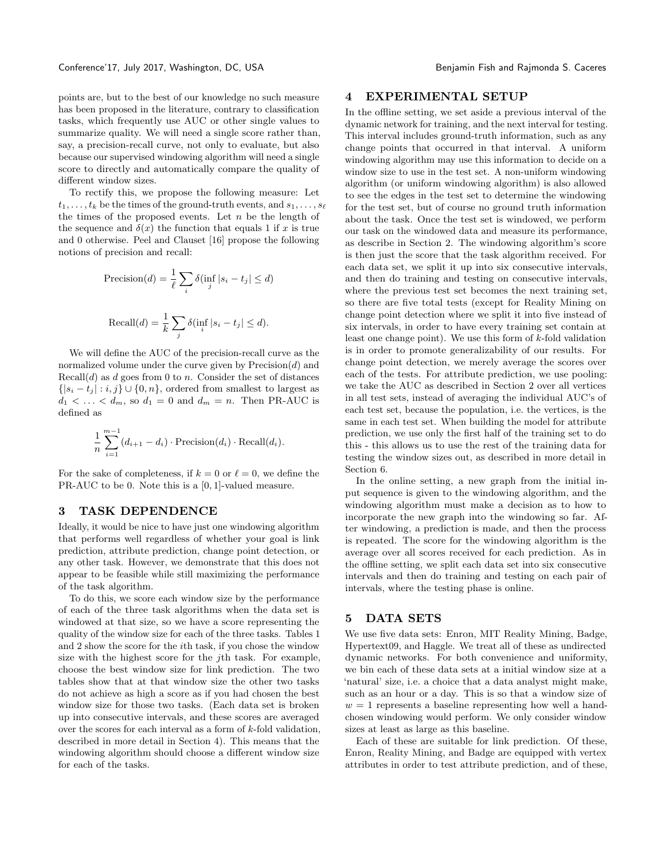points are, but to the best of our knowledge no such measure has been proposed in the literature, contrary to classification tasks, which frequently use AUC or other single values to summarize quality. We will need a single score rather than, say, a precision-recall curve, not only to evaluate, but also because our supervised windowing algorithm will need a single score to directly and automatically compare the quality of different window sizes.

To rectify this, we propose the following measure: Let  $t_1, \ldots, t_k$  be the times of the ground-truth events, and  $s_1, \ldots, s_\ell$ the times of the proposed events. Let  $n$  be the length of the sequence and  $\delta(x)$  the function that equals 1 if x is true and 0 otherwise. Peel and Clauset [\[16\]](#page-9-4) propose the following notions of precision and recall:

$$
\text{Precision}(d) = \frac{1}{\ell} \sum_{i} \delta(\inf_{j} |s_i - t_j| \le d)
$$
\n
$$
\text{Recall}(d) = \frac{1}{k} \sum_{j} \delta(\inf_{i} |s_i - t_j| \le d).
$$

We will define the AUC of the precision-recall curve as the normalized volume under the curve given by  $Precision(d)$  and  $Recall(d)$  as d goes from 0 to n. Consider the set of distances  $\{|s_i - t_j| : i, j\} \cup \{0, n\}$ , ordered from smallest to largest as  $d_1 < \ldots < d_m$ , so  $d_1 = 0$  and  $d_m = n$ . Then PR-AUC is defined as

$$
\frac{1}{n} \sum_{i=1}^{m-1} (d_{i+1} - d_i) \cdot \text{Precision}(d_i) \cdot \text{Recall}(d_i).
$$

For the sake of completeness, if  $k = 0$  or  $\ell = 0$ , we define the PR-AUC to be 0. Note this is a [0, 1]-valued measure.

#### 3 TASK DEPENDENCE

Ideally, it would be nice to have just one windowing algorithm that performs well regardless of whether your goal is link prediction, attribute prediction, change point detection, or any other task. However, we demonstrate that this does not appear to be feasible while still maximizing the performance of the task algorithm.

To do this, we score each window size by the performance of each of the three task algorithms when the data set is windowed at that size, so we have a score representing the quality of the window size for each of the three tasks. Tables [1](#page-4-0) and [2](#page-4-1) show the score for the ith task, if you chose the window size with the highest score for the jth task. For example, choose the best window size for link prediction. The two tables show that at that window size the other two tasks do not achieve as high a score as if you had chosen the best window size for those two tasks. (Each data set is broken up into consecutive intervals, and these scores are averaged over the scores for each interval as a form of  $k$ -fold validation. described in more detail in Section [4\)](#page-3-0). This means that the windowing algorithm should choose a different window size for each of the tasks.

#### <span id="page-3-0"></span>4 EXPERIMENTAL SETUP

In the offline setting, we set aside a previous interval of the dynamic network for training, and the next interval for testing. This interval includes ground-truth information, such as any change points that occurred in that interval. A uniform windowing algorithm may use this information to decide on a window size to use in the test set. A non-uniform windowing algorithm (or uniform windowing algorithm) is also allowed to see the edges in the test set to determine the windowing for the test set, but of course no ground truth information about the task. Once the test set is windowed, we perform our task on the windowed data and measure its performance, as describe in Section [2.](#page-2-0) The windowing algorithm's score is then just the score that the task algorithm received. For each data set, we split it up into six consecutive intervals, and then do training and testing on consecutive intervals, where the previous test set becomes the next training set, so there are five total tests (except for Reality Mining on change point detection where we split it into five instead of six intervals, in order to have every training set contain at least one change point). We use this form of  $k$ -fold validation is in order to promote generalizability of our results. For change point detection, we merely average the scores over each of the tests. For attribute prediction, we use pooling: we take the AUC as described in Section [2](#page-2-0) over all vertices in all test sets, instead of averaging the individual AUC's of each test set, because the population, i.e. the vertices, is the same in each test set. When building the model for attribute prediction, we use only the first half of the training set to do this - this allows us to use the rest of the training data for testing the window sizes out, as described in more detail in Section [6.](#page-5-0)

In the online setting, a new graph from the initial input sequence is given to the windowing algorithm, and the windowing algorithm must make a decision as to how to incorporate the new graph into the windowing so far. After windowing, a prediction is made, and then the process is repeated. The score for the windowing algorithm is the average over all scores received for each prediction. As in the offline setting, we split each data set into six consecutive intervals and then do training and testing on each pair of intervals, where the testing phase is online.

#### 5 DATA SETS

We use five data sets: Enron, MIT Reality Mining, Badge, Hypertext09, and Haggle. We treat all of these as undirected dynamic networks. For both convenience and uniformity, we bin each of these data sets at a initial window size at a 'natural' size, i.e. a choice that a data analyst might make, such as an hour or a day. This is so that a window size of  $w = 1$  represents a baseline representing how well a handchosen windowing would perform. We only consider window sizes at least as large as this baseline.

Each of these are suitable for link prediction. Of these, Enron, Reality Mining, and Badge are equipped with vertex attributes in order to test attribute prediction, and of these,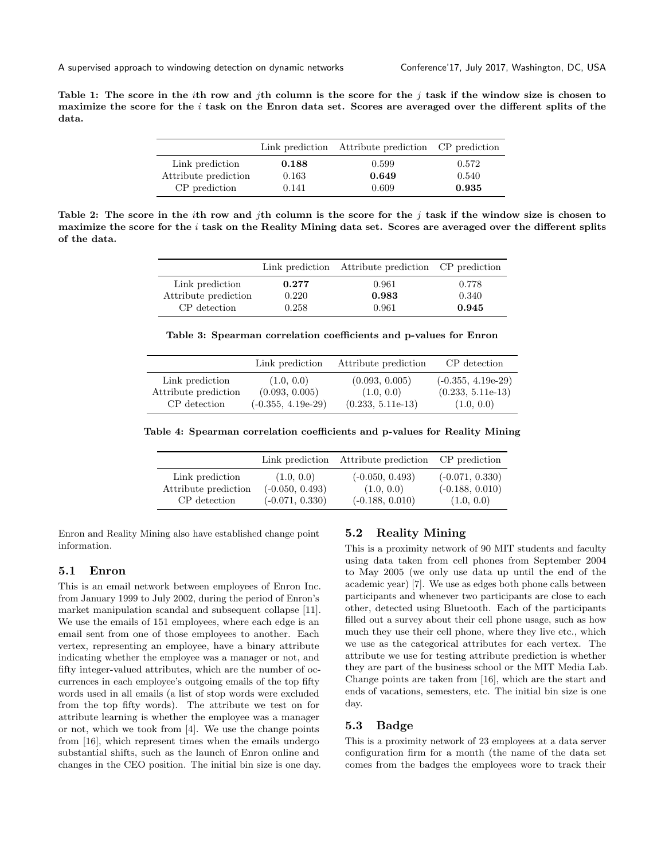A supervised approach to windowing detection on dynamic networks Conference'17, July 2017, Washington, DC, USA

<span id="page-4-0"></span>Table 1: The score in the *i*th row and *j*th column is the score for the *j* task if the window size is chosen to maximize the score for the  $i$  task on the Enron data set. Scores are averaged over the different splits of the data.

|                      |       | Link prediction Attribute prediction CP prediction |       |
|----------------------|-------|----------------------------------------------------|-------|
| Link prediction      | 0.188 | 0.599                                              | 0.572 |
| Attribute prediction | 0.163 | 0.649                                              | 0.540 |
| CP prediction        | 0.141 | 0.609                                              | 0.935 |

<span id="page-4-1"></span>Table 2: The score in the *i*th row and *j*th column is the score for the *j* task if the window size is chosen to maximize the score for the  $i$  task on the Reality Mining data set. Scores are averaged over the different splits of the data.

|                      |       | Link prediction Attribute prediction CP prediction |       |
|----------------------|-------|----------------------------------------------------|-------|
| Link prediction      | 0.277 | 0.961                                              | 0.778 |
| Attribute prediction | 0.220 | 0.983                                              | 0.340 |
| CP detection         | 0.258 | 0.961                                              | 0.945 |

Table 3: Spearman correlation coefficients and p-values for Enron

|                      | Link prediction      | Attribute prediction | CP detection         |
|----------------------|----------------------|----------------------|----------------------|
| Link prediction      | (1.0, 0.0)           | (0.093, 0.005)       | $(-0.355, 4.19e-29)$ |
| Attribute prediction | (0.093, 0.005)       | (1.0, 0.0)           | $(0.233, 5.11e-13)$  |
| CP detection         | $(-0.355, 4.19e-29)$ | $(0.233, 5.11e-13)$  | (1.0, 0.0)           |

<span id="page-4-2"></span>Table 4: Spearman correlation coefficients and p-values for Reality Mining

|                      | Link prediction   | Attribute prediction CP prediction |                   |
|----------------------|-------------------|------------------------------------|-------------------|
| Link prediction      | (1.0, 0.0)        | $(-0.050, 0.493)$                  | $(-0.071, 0.330)$ |
| Attribute prediction | $(-0.050, 0.493)$ | (1.0, 0.0)                         | $(-0.188, 0.010)$ |
| CP detection         | $(-0.071, 0.330)$ | $(-0.188, 0.010)$                  | (1.0, 0.0)        |

Enron and Reality Mining also have established change point information.

#### 5.1 Enron

This is an email network between employees of Enron Inc. from January 1999 to July 2002, during the period of Enron's market manipulation scandal and subsequent collapse [\[11\]](#page-9-12). We use the emails of 151 employees, where each edge is an email sent from one of those employees to another. Each vertex, representing an employee, have a binary attribute indicating whether the employee was a manager or not, and fifty integer-valued attributes, which are the number of occurrences in each employee's outgoing emails of the top fifty words used in all emails (a list of stop words were excluded from the top fifty words). The attribute we test on for attribute learning is whether the employee was a manager or not, which we took from [\[4\]](#page-8-6). We use the change points from [\[16\]](#page-9-4), which represent times when the emails undergo substantial shifts, such as the launch of Enron online and changes in the CEO position. The initial bin size is one day.

#### 5.2 Reality Mining

This is a proximity network of 90 MIT students and faculty using data taken from cell phones from September 2004 to May 2005 (we only use data up until the end of the academic year) [\[7\]](#page-8-7). We use as edges both phone calls between participants and whenever two participants are close to each other, detected using Bluetooth. Each of the participants filled out a survey about their cell phone usage, such as how much they use their cell phone, where they live etc., which we use as the categorical attributes for each vertex. The attribute we use for testing attribute prediction is whether they are part of the business school or the MIT Media Lab. Change points are taken from [\[16\]](#page-9-4), which are the start and ends of vacations, semesters, etc. The initial bin size is one day.

#### 5.3 Badge

This is a proximity network of 23 employees at a data server configuration firm for a month (the name of the data set comes from the badges the employees wore to track their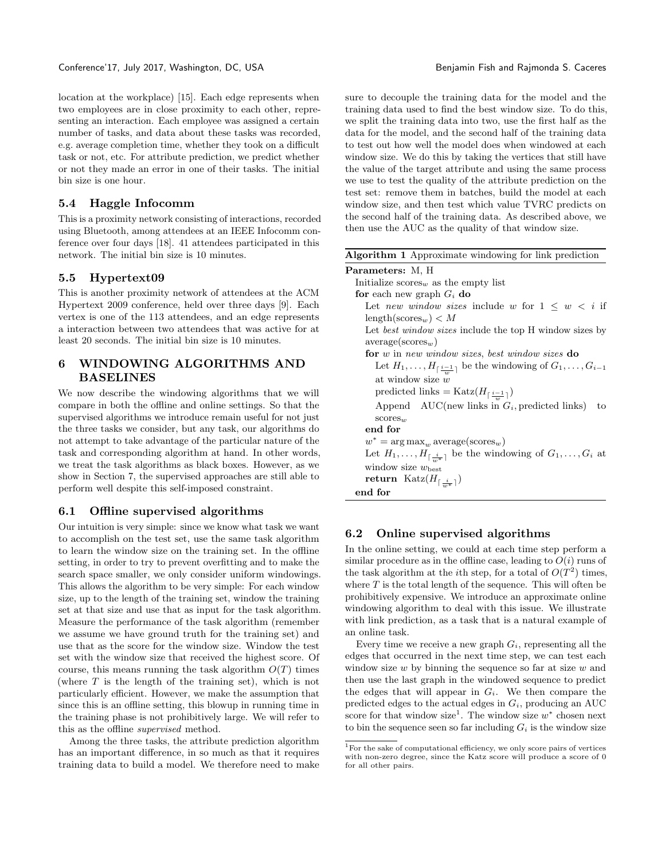location at the workplace) [\[15\]](#page-9-13). Each edge represents when two employees are in close proximity to each other, representing an interaction. Each employee was assigned a certain number of tasks, and data about these tasks was recorded, e.g. average completion time, whether they took on a difficult task or not, etc. For attribute prediction, we predict whether or not they made an error in one of their tasks. The initial bin size is one hour.

# 5.4 Haggle Infocomm

This is a proximity network consisting of interactions, recorded using Bluetooth, among attendees at an IEEE Infocomm conference over four days [\[18\]](#page-9-14). 41 attendees participated in this network. The initial bin size is 10 minutes.

## 5.5 Hypertext09

This is another proximity network of attendees at the ACM Hypertext 2009 conference, held over three days [\[9\]](#page-9-15). Each vertex is one of the 113 attendees, and an edge represents a interaction between two attendees that was active for at least 20 seconds. The initial bin size is 10 minutes.

# <span id="page-5-0"></span>6 WINDOWING ALGORITHMS AND BASELINES

We now describe the windowing algorithms that we will compare in both the offline and online settings. So that the supervised algorithms we introduce remain useful for not just the three tasks we consider, but any task, our algorithms do not attempt to take advantage of the particular nature of the task and corresponding algorithm at hand. In other words, we treat the task algorithms as black boxes. However, as we show in Section [7,](#page-6-0) the supervised approaches are still able to perform well despite this self-imposed constraint.

#### 6.1 Offline supervised algorithms

Our intuition is very simple: since we know what task we want to accomplish on the test set, use the same task algorithm to learn the window size on the training set. In the offline setting, in order to try to prevent overfitting and to make the search space smaller, we only consider uniform windowings. This allows the algorithm to be very simple: For each window size, up to the length of the training set, window the training set at that size and use that as input for the task algorithm. Measure the performance of the task algorithm (remember we assume we have ground truth for the training set) and use that as the score for the window size. Window the test set with the window size that received the highest score. Of course, this means running the task algorithm  $O(T)$  times (where  $T$  is the length of the training set), which is not particularly efficient. However, we make the assumption that since this is an offline setting, this blowup in running time in the training phase is not prohibitively large. We will refer to this as the offline supervised method.

Among the three tasks, the attribute prediction algorithm has an important difference, in so much as that it requires training data to build a model. We therefore need to make

sure to decouple the training data for the model and the training data used to find the best window size. To do this, we split the training data into two, use the first half as the data for the model, and the second half of the training data to test out how well the model does when windowed at each window size. We do this by taking the vertices that still have the value of the target attribute and using the same process we use to test the quality of the attribute prediction on the test set: remove them in batches, build the model at each window size, and then test which value TVRC predicts on the second half of the training data. As described above, we then use the AUC as the quality of that window size.

<span id="page-5-2"></span>

|  | Algorithm 1 Approximate windowing for link prediction |  |  |
|--|-------------------------------------------------------|--|--|
|--|-------------------------------------------------------|--|--|

| <b>Parameters:</b> M, H                                                                       |
|-----------------------------------------------------------------------------------------------|
| Initialize scores <sub><i>w</i></sub> as the empty list                                       |
| for each new graph $G_i$ do                                                                   |
| Let new window sizes include w for $1 \leq w \leq i$ if                                       |
| $\text{length}(\text{scores}_{w}) < M$                                                        |
| Let <i>best window sizes</i> include the top H window sizes by                                |
| $average(scores_w)$                                                                           |
| for w in new window sizes, best window sizes do                                               |
| Let $H_1, \ldots, H_{\lceil \frac{i-1}{m} \rceil}$ be the windowing of $G_1, \ldots, G_{i-1}$ |
| at window size $w$                                                                            |
| predicted links = $\text{Katz}(H_{\lceil \frac{i-1}{m} \rceil})$                              |
| Append AUC(new links in $G_i$ , predicted links)<br>to                                        |
| $\mathrm{scores}_m$                                                                           |
| end for                                                                                       |
| $w^* = \arg \max_w \text{average}(\text{scores}_w)$                                           |
| Let $H_1, \ldots, H_{\lceil \frac{i}{m^*} \rceil}$ be the windowing of $G_1, \ldots, G_i$ at  |
| window size $w_{\text{best}}$                                                                 |
| return Katz $(H_{\lceil \frac{i}{2}\rceil})$                                                  |
| end for                                                                                       |

#### 6.2 Online supervised algorithms

In the online setting, we could at each time step perform a similar procedure as in the offline case, leading to  $O(i)$  runs of the task algorithm at the *i*th step, for a total of  $O(T^2)$  times, where  $T$  is the total length of the sequence. This will often be prohibitively expensive. We introduce an approximate online windowing algorithm to deal with this issue. We illustrate with link prediction, as a task that is a natural example of an online task.

Every time we receive a new graph  $G_i$ , representing all the edges that occurred in the next time step, we can test each window size  $w$  by binning the sequence so far at size  $w$  and then use the last graph in the windowed sequence to predict the edges that will appear in  $G_i$ . We then compare the predicted edges to the actual edges in  $G_i$ , producing an AUC score for that window size<sup>[1](#page-5-1)</sup>. The window size  $w^*$  chosen next to bin the sequence seen so far including  $G_i$  is the window size

<span id="page-5-1"></span> $1$ For the sake of computational efficiency, we only score pairs of vertices with non-zero degree, since the Katz score will produce a score of 0 for all other pairs.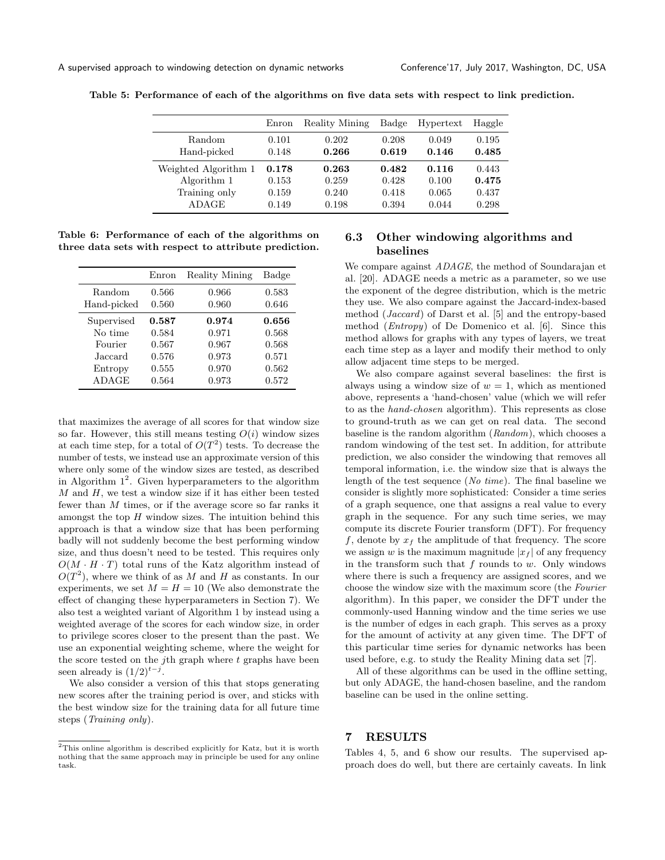<span id="page-6-2"></span>A supervised approach to windowing detection on dynamic networks Conference'17, July 2017, Washington, DC, USA

|                      | Enron | Reality Mining | Badge | Hypertext | Haggle |
|----------------------|-------|----------------|-------|-----------|--------|
| <b>Random</b>        | 0.101 | 0.202          | 0.208 | 0.049     | 0.195  |
| Hand-picked          | 0.148 | 0.266          | 0.619 | 0.146     | 0.485  |
| Weighted Algorithm 1 | 0.178 | 0.263          | 0.482 | 0.116     | 0.443  |
| Algorithm 1          | 0.153 | 0.259          | 0.428 | 0.100     | 0.475  |
| Training only        | 0.159 | 0.240          | 0.418 | 0.065     | 0.437  |
| ADAGE                | 0.149 | 0.198          | 0.394 | 0.044     | 0.298  |

Table 5: Performance of each of the algorithms on five data sets with respect to link prediction.

<span id="page-6-3"></span>Table 6: Performance of each of the algorithms on three data sets with respect to attribute prediction.

|             | Enron | Reality Mining | Badge |
|-------------|-------|----------------|-------|
| Random      | 0.566 | 0.966          | 0.583 |
| Hand-picked | 0.560 | 0.960          | 0.646 |
| Supervised  | 0.587 | 0.974          | 0.656 |
| No time     | 0.584 | 0.971          | 0.568 |
| Fourier     | 0.567 | 0.967          | 0.568 |
| Jaccard.    | 0.576 | 0.973          | 0.571 |
| Entropy     | 0.555 | 0.970          | 0.562 |
| ADAGE       | 0.564 | 0.973          | 0.572 |

that maximizes the average of all scores for that window size so far. However, this still means testing  $O(i)$  window sizes at each time step, for a total of  $O(T^2)$  tests. To decrease the number of tests, we instead use an approximate version of this where only some of the window sizes are tested, as described in Algorithm  $1^2$  $1^2$ . Given hyperparameters to the algorithm  $M$  and  $H$ , we test a window size if it has either been tested fewer than M times, or if the average score so far ranks it amongst the top  $H$  window sizes. The intuition behind this approach is that a window size that has been performing badly will not suddenly become the best performing window size, and thus doesn't need to be tested. This requires only  $O(M \cdot H \cdot T)$  total runs of the Katz algorithm instead of  $O(T^2)$ , where we think of as M and H as constants. In our experiments, we set  $M = H = 10$  (We also demonstrate the effect of changing these hyperparameters in Section [7\)](#page-6-0). We also test a weighted variant of Algorithm [1](#page-5-2) by instead using a weighted average of the scores for each window size, in order to privilege scores closer to the present than the past. We use an exponential weighting scheme, where the weight for the score tested on the *j*th graph where  $t$  graphs have been seen already is  $(1/2)^{t-j}$ .

We also consider a version of this that stops generating new scores after the training period is over, and sticks with the best window size for the training data for all future time steps (Training only).

# 6.3 Other windowing algorithms and baselines

We compare against *ADAGE*, the method of Soundarajan et al. [\[20\]](#page-9-7). ADAGE needs a metric as a parameter, so we use the exponent of the degree distribution, which is the metric they use. We also compare against the Jaccard-index-based method (Jaccard) of Darst et al. [\[5\]](#page-8-4) and the entropy-based method (Entropy) of De Domenico et al. [\[6\]](#page-8-3). Since this method allows for graphs with any types of layers, we treat each time step as a layer and modify their method to only allow adjacent time steps to be merged.

We also compare against several baselines: the first is always using a window size of  $w = 1$ , which as mentioned above, represents a 'hand-chosen' value (which we will refer to as the hand-chosen algorithm). This represents as close to ground-truth as we can get on real data. The second baseline is the random algorithm (Random), which chooses a random windowing of the test set. In addition, for attribute prediction, we also consider the windowing that removes all temporal information, i.e. the window size that is always the length of the test sequence (No time). The final baseline we consider is slightly more sophisticated: Consider a time series of a graph sequence, one that assigns a real value to every graph in the sequence. For any such time series, we may compute its discrete Fourier transform (DFT). For frequency f, denote by  $x_f$  the amplitude of that frequency. The score we assign w is the maximum magnitude  $|x_f|$  of any frequency in the transform such that  $f$  rounds to  $w$ . Only windows where there is such a frequency are assigned scores, and we choose the window size with the maximum score (the Fourier algorithm). In this paper, we consider the DFT under the commonly-used Hanning window and the time series we use is the number of edges in each graph. This serves as a proxy for the amount of activity at any given time. The DFT of this particular time series for dynamic networks has been used before, e.g. to study the Reality Mining data set [\[7\]](#page-8-7).

All of these algorithms can be used in the offline setting, but only ADAGE, the hand-chosen baseline, and the random baseline can be used in the online setting.

### <span id="page-6-0"></span>7 RESULTS

Tables [4,](#page-4-2) [5,](#page-6-2) and [6](#page-6-3) show our results. The supervised approach does do well, but there are certainly caveats. In link

<span id="page-6-1"></span> $2$ This online algorithm is described explicitly for Katz, but it is worth nothing that the same approach may in principle be used for any online task.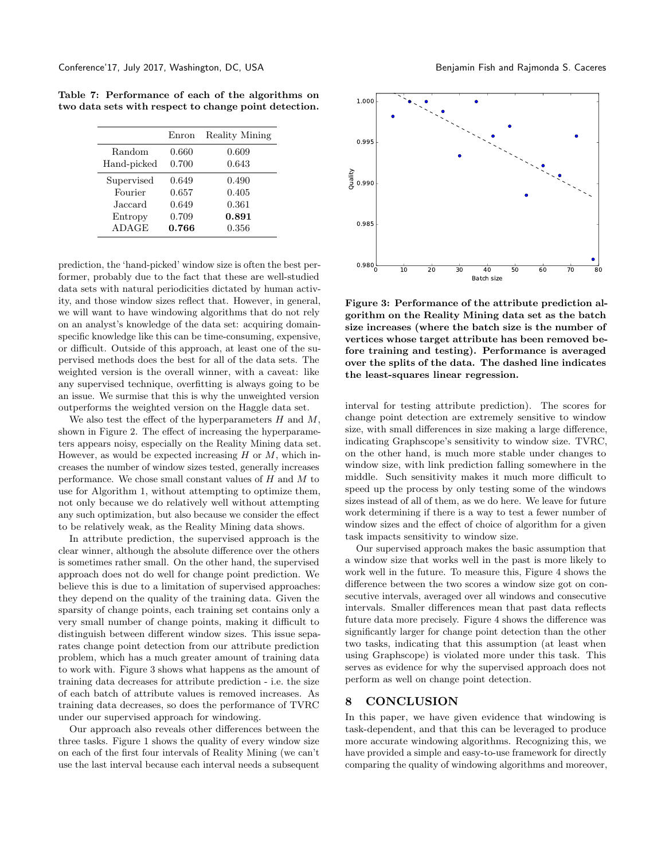|              | Enron | Reality Mining |
|--------------|-------|----------------|
| Random       | 0.660 | 0.609          |
| Hand-picked  | 0.700 | 0.643          |
| Supervised   | 0.649 | 0.490          |
| Fourier      | 0.657 | 0.405          |
| Jaccard      | 0.649 | 0.361          |
| Entropy      | 0.709 | 0.891          |
| <b>ADAGE</b> | 0.766 | 0.356          |

Table 7: Performance of each of the algorithms on two data sets with respect to change point detection.

prediction, the 'hand-picked' window size is often the best performer, probably due to the fact that these are well-studied data sets with natural periodicities dictated by human activity, and those window sizes reflect that. However, in general, we will want to have windowing algorithms that do not rely on an analyst's knowledge of the data set: acquiring domainspecific knowledge like this can be time-consuming, expensive, or difficult. Outside of this approach, at least one of the supervised methods does the best for all of the data sets. The weighted version is the overall winner, with a caveat: like any supervised technique, overfitting is always going to be an issue. We surmise that this is why the unweighted version outperforms the weighted version on the Haggle data set.

We also test the effect of the hyperparameters  $H$  and  $M$ , shown in Figure [2.](#page-8-8) The effect of increasing the hyperparameters appears noisy, especially on the Reality Mining data set. However, as would be expected increasing  $H$  or  $M$ , which increases the number of window sizes tested, generally increases performance. We chose small constant values of H and M to use for Algorithm [1,](#page-5-2) without attempting to optimize them, not only because we do relatively well without attempting any such optimization, but also because we consider the effect to be relatively weak, as the Reality Mining data shows.

In attribute prediction, the supervised approach is the clear winner, although the absolute difference over the others is sometimes rather small. On the other hand, the supervised approach does not do well for change point prediction. We believe this is due to a limitation of supervised approaches: they depend on the quality of the training data. Given the sparsity of change points, each training set contains only a very small number of change points, making it difficult to distinguish between different window sizes. This issue separates change point detection from our attribute prediction problem, which has a much greater amount of training data to work with. Figure [3](#page-8-9) shows what happens as the amount of training data decreases for attribute prediction - i.e. the size of each batch of attribute values is removed increases. As training data decreases, so does the performance of TVRC under our supervised approach for windowing.

Our approach also reveals other differences between the three tasks. Figure [1](#page-0-0) shows the quality of every window size on each of the first four intervals of Reality Mining (we can't use the last interval because each interval needs a subsequent

<span id="page-7-0"></span>

Figure 3: Performance of the attribute prediction algorithm on the Reality Mining data set as the batch size increases (where the batch size is the number of vertices whose target attribute has been removed before training and testing). Performance is averaged over the splits of the data. The dashed line indicates the least-squares linear regression.

interval for testing attribute prediction). The scores for change point detection are extremely sensitive to window size, with small differences in size making a large difference, indicating Graphscope's sensitivity to window size. TVRC, on the other hand, is much more stable under changes to window size, with link prediction falling somewhere in the middle. Such sensitivity makes it much more difficult to speed up the process by only testing some of the windows sizes instead of all of them, as we do here. We leave for future work determining if there is a way to test a fewer number of window sizes and the effect of choice of algorithm for a given task impacts sensitivity to window size.

Our supervised approach makes the basic assumption that a window size that works well in the past is more likely to work well in the future. To measure this, Figure [4](#page-7-0) shows the difference between the two scores a window size got on consecutive intervals, averaged over all windows and consecutive intervals. Smaller differences mean that past data reflects future data more precisely. Figure [4](#page-7-0) shows the difference was significantly larger for change point detection than the other two tasks, indicating that this assumption (at least when using Graphscope) is violated more under this task. This serves as evidence for why the supervised approach does not perform as well on change point detection.

#### 8 CONCLUSION

In this paper, we have given evidence that windowing is task-dependent, and that this can be leveraged to produce more accurate windowing algorithms. Recognizing this, we have provided a simple and easy-to-use framework for directly comparing the quality of windowing algorithms and moreover,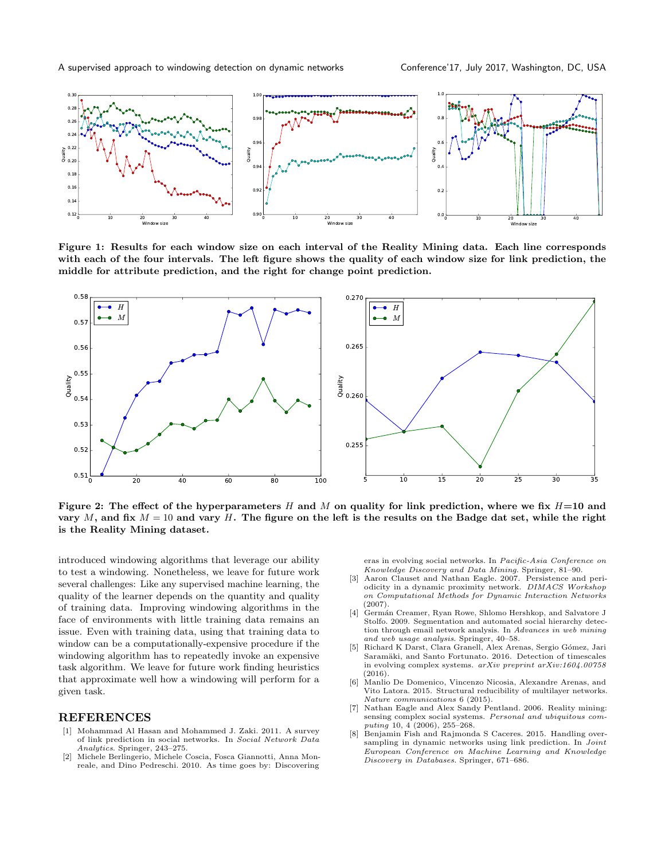<span id="page-8-8"></span>

Figure 1: Results for each window size on each interval of the Reality Mining data. Each line corresponds with each of the four intervals. The left figure shows the quality of each window size for link prediction, the middle for attribute prediction, and the right for change point prediction.

<span id="page-8-9"></span>

Figure 2: The effect of the hyperparameters H and M on quality for link prediction, where we fix  $H=10$  and vary M, and fix  $M = 10$  and vary H. The figure on the left is the results on the Badge dat set, while the right is the Reality Mining dataset.

introduced windowing algorithms that leverage our ability to test a windowing. Nonetheless, we leave for future work several challenges: Like any supervised machine learning, the quality of the learner depends on the quantity and quality of training data. Improving windowing algorithms in the face of environments with little training data remains an issue. Even with training data, using that training data to window can be a computationally-expensive procedure if the windowing algorithm has to repeatedly invoke an expensive task algorithm. We leave for future work finding heuristics that approximate well how a windowing will perform for a given task.

#### REFERENCES

- <span id="page-8-5"></span>[1] Mohammad Al Hasan and Mohammed J. Zaki. 2011. A survey of link prediction in social networks. In Social Network Data Analytics. Springer, 243–275.
- <span id="page-8-2"></span>[2] Michele Berlingerio, Michele Coscia, Fosca Giannotti, Anna Monreale, and Dino Pedreschi. 2010. As time goes by: Discovering

eras in evolving social networks. In Pacific-Asia Conference on Knowledge Discovery and Data Mining. Springer, 81–90.

- <span id="page-8-0"></span>[3] Aaron Clauset and Nathan Eagle. 2007. Persistence and periodicity in a dynamic proximity network. DIMACS Workshop on Computational Methods for Dynamic Interaction Networks (2007).
- <span id="page-8-6"></span>[4] Germán Creamer, Ryan Rowe, Shlomo Hershkop, and Salvatore J Stolfo. 2009. Segmentation and automated social hierarchy detection through email network analysis. In Advances in web mining and web usage analysis. Springer, 40–58.
- <span id="page-8-4"></span>Richard K Darst, Clara Granell, Alex Arenas, Sergio Gómez, Jari Saramäki, and Santo Fortunato. 2016. Detection of timescales in evolving complex systems. arXiv preprint arXiv:1604.00758 (2016).
- <span id="page-8-3"></span>[6] Manlio De Domenico, Vincenzo Nicosia, Alexandre Arenas, and Vito Latora. 2015. Structural reducibility of multilayer networks. Nature communications 6 (2015).
- <span id="page-8-7"></span>[7] Nathan Eagle and Alex Sandy Pentland. 2006. Reality mining: sensing complex social systems. Personal and ubiquitous computing 10, 4 (2006), 255–268.
- <span id="page-8-1"></span>[8] Benjamin Fish and Rajmonda S Caceres. 2015. Handling oversampling in dynamic networks using link prediction. In Joint European Conference on Machine Learning and Knowledge Discovery in Databases. Springer, 671–686.